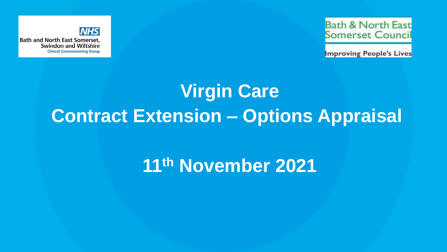

**Bath & North East Somerset Council** 

**Improving People's Lives** 

# **Virgin Care Contract Extension – Options Appraisal**

# **11th November 2021**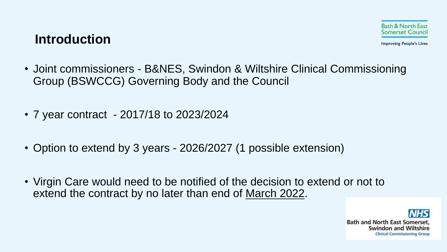## **Introduction**

- Joint commissioners B&NES, Swindon & Wiltshire Clinical Commissioning Group (BSWCCG) Governing Body and the Council
- 7 year contract 2017/18 to 2023/2024
- Option to extend by 3 years 2026/2027 (1 possible extension)
- Virgin Care would need to be notified of the decision to extend or not to extend the contract by no later than end of March 2022.

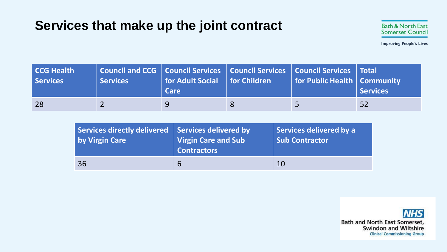# **Services that make up the joint contract**

| <b>CCG Health</b><br>Services | Services | Council and CCG   Council Services   Council Services   Council Services   Total<br>  for Adult Social   for Children<br><b>Care</b> | for Public Health   Community | Services |
|-------------------------------|----------|--------------------------------------------------------------------------------------------------------------------------------------|-------------------------------|----------|
| 28                            |          |                                                                                                                                      |                               | 52       |

| Services directly delivered   Services delivered by | Virgin Care and Sub | Services delivered by a |
|-----------------------------------------------------|---------------------|-------------------------|
| by Virgin Care                                      | Contractors         | <b>Sub Contractor</b>   |
| 36                                                  | 6                   | 10                      |

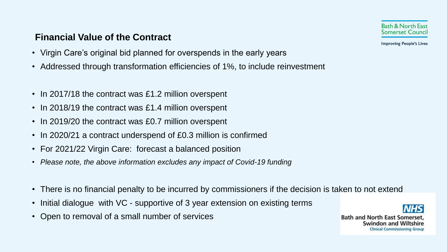### **Financial Value of the Contract**

- Virgin Care's original bid planned for overspends in the early years
- Addressed through transformation efficiencies of 1%, to include reinvestment
- In 2017/18 the contract was £1.2 million overspent
- In 2018/19 the contract was £1.4 million overspent
- In 2019/20 the contract was £0.7 million overspent
- In 2020/21 a contract underspend of £0.3 million is confirmed
- For 2021/22 Virgin Care: forecast a balanced position
- *Please note, the above information excludes any impact of Covid-19 funding*
- There is no financial penalty to be incurred by commissioners if the decision is taken to not extend
- Initial dialogue with VC supportive of 3 year extension on existing terms
- Open to removal of a small number of services



**Improving People's Lives** 

**Bath and North East Somerset** Swindon and Wiltshire **Clinical Commissioning Group**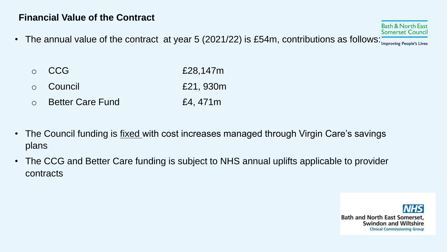### **Financial Value of the Contract**

- The annual value of the contract at year 5 (2021/22) is £54m, contributions as follows: **From Preople's Lives** 
	- $\circ$  CCG  $E28,147m$
	- o Council £21, 930m
	- o Better Care Fund E4, 471m
- The Council funding is *fixed* with cost increases managed through Virgin Care's savings plans
- The CCG and Better Care funding is subject to NHS annual uplifts applicable to provider contracts

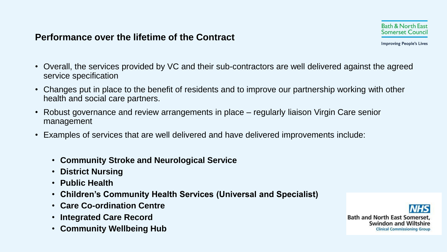### **Performance over the lifetime of the Contract**

- Overall, the services provided by VC and their sub-contractors are well delivered against the agreed service specification
- Changes put in place to the benefit of residents and to improve our partnership working with other health and social care partners.
- Robust governance and review arrangements in place regularly liaison Virgin Care senior management
- Examples of services that are well delivered and have delivered improvements include:
	- **Community Stroke and Neurological Service**
	- **District Nursing**
	- **Public Health**
	- **Children's Community Health Services (Universal and Specialist)**
	- **Care Co-ordination Centre**
	- **Integrated Care Record**
	- **Community Wellbeing Hub**

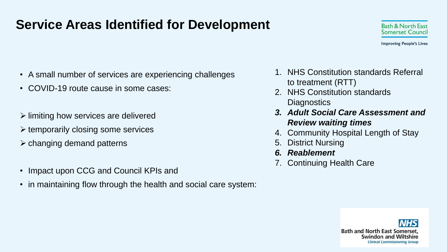# **Service Areas Identified for Development**



- A small number of services are experiencing challenges
- COVID-19 route cause in some cases:
- $\triangleright$  limiting how services are delivered
- ➢ temporarily closing some services
- $\triangleright$  changing demand patterns
- Impact upon CCG and Council KPIs and
- in maintaining flow through the health and social care system:
- 1. NHS Constitution standards Referral to treatment (RTT)
- 2. NHS Constitution standards **Diagnostics**
- *3. Adult Social Care Assessment and Review waiting times*
- 4. Community Hospital Length of Stay
- 5. District Nursing
- *6. Reablement*
- 7. Continuing Health Care

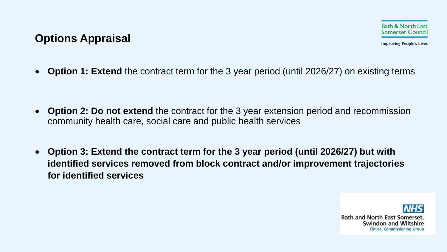### **Options Appraisal**

**Improving People's Lives** 

• **Option 1: Extend** the contract term for the 3 year period (until 2026/27) on existing terms

- **Option 2: Do not extend** the contract for the 3 year extension period and recommission community health care, social care and public health services
- **Option 3: Extend the contract term for the 3 year period (until 2026/27) but with identified services removed from block contract and/or improvement trajectories for identified services**

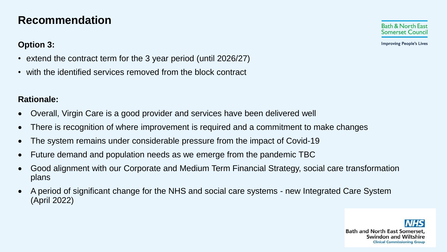### **Recommendation**

#### **Option 3:**

**Improving People's Lives** 

- extend the contract term for the 3 year period (until 2026/27)
- with the identified services removed from the block contract

#### **Rationale:**

- Overall, Virgin Care is a good provider and services have been delivered well
- There is recognition of where improvement is required and a commitment to make changes
- The system remains under considerable pressure from the impact of Covid-19
- Future demand and population needs as we emerge from the pandemic TBC
- Good alignment with our Corporate and Medium Term Financial Strategy, social care transformation plans
- A period of significant change for the NHS and social care systems new Integrated Care System (April 2022)